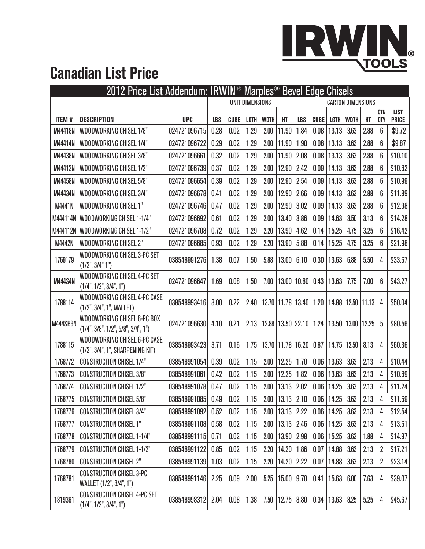

## **Canadian List Price**

|                |                                                                   |              | 2012 Price List Addendum: IRWIN <sup>®</sup> Marples <sup>®</sup> Bevel Edge Chisels |             |      |                          |                       |                 |             |                       |             |       |                   |                             |
|----------------|-------------------------------------------------------------------|--------------|--------------------------------------------------------------------------------------|-------------|------|--------------------------|-----------------------|-----------------|-------------|-----------------------|-------------|-------|-------------------|-----------------------------|
|                |                                                                   |              | UNIT DIMENSIONS                                                                      |             |      | <b>CARTON DIMENSIONS</b> |                       |                 |             |                       |             |       |                   |                             |
| ITEM #         | <b>DESCRIPTION</b>                                                | <b>UPC</b>   | <b>LBS</b>                                                                           | <b>CUBE</b> | LGTH | <b>WDTH</b>              | HT                    | <b>LBS</b>      | <b>CUBE</b> | LGTH                  | <b>WDTH</b> | HT    | <b>CTN</b><br>QTY | <b>LIST</b><br><b>PRICE</b> |
| M44418N        | WOODWORKING CHISEL 1/8"                                           | 024721096715 | 0.28                                                                                 | 0.02        | 1.29 | 2.00                     | 11.90                 | 1.84            | 0.08        | 13.13                 | 3.63        | 2.88  | 6                 | \$9.72                      |
| M44414N        | WOODWORKING CHISEL 1/4"                                           | 024721096722 | 0.29                                                                                 | 0.02        | 1.29 | 2.00                     | 11.90                 | 1.90            | 0.08        | 13.13                 | 3.63        | 2.88  | 6                 | \$9.87                      |
| M44438N        | WOODWORKING CHISEL 3/8"                                           | 024721096661 | 0.32                                                                                 | 0.02        | 1.29 | 2.00                     | 11.90                 | 2.08            | 0.08        | 13.13                 | 3.63        | 2.88  | 6                 | \$10.10                     |
| M44412N        | WOODWORKING CHISEL 1/2"                                           | 024721096739 | 0.37                                                                                 | 0.02        | 1.29 | 2.00                     | 12.90                 | 2.42            | 0.09        | 14.13                 | 3.63        | 2.88  | 6                 | \$10.62                     |
| M44458N        | WOODWORKING CHISEL 5/8"                                           | 024721096654 | 0.39                                                                                 | 0.02        | 1.29 | 2.00                     | 12.90                 | 2.54            | 0.09        | 14.13                 | 3.63        | 2.88  | 6                 | \$10.99                     |
| M44434N        | WOODWORKING CHISEL 3/4"                                           | 024721096678 | 0.41                                                                                 | 0.02        | 1.29 | 2.00                     | 12.90                 | 2.66            | 0.09        | 14.13                 | 3.63        | 2.88  | 6                 | \$11.89                     |
| M4441N         | WOODWORKING CHISEL 1"                                             | 024721096746 | 0.47                                                                                 | 0.02        | 1.29 | 2.00                     | 12.90                 | 3.02            | 0.09        | 14.13                 | 3.63        | 2.88  | 6                 | \$12.98                     |
| M444114N       | WOODWORKING CHISEL 1-1/4"                                         | 024721096692 | 0.61                                                                                 | 0.02        | 1.29 | 2.00                     | 13.40                 | 3.86            | 0.09        | 14.63                 | 3.50        | 3.13  | 6                 | \$14.28                     |
| M444112N       | WOODWORKING CHISEL 1-1/2"                                         | 024721096708 | 0.72                                                                                 | 0.02        | 1.29 | 2.20                     | 13.90                 | 4.62            | 0.14        | 15.25                 | 4.75        | 3.25  | 6                 | \$16.42                     |
| M4442N         | WOODWORKING CHISEL 2"                                             | 024721096685 | 0.93                                                                                 | 0.02        | 1.29 | 2.20                     | 13.90                 | 5.88            | 0.14        | 15.25                 | 4.75        | 3.25  | 6                 | \$21.98                     |
| 1769179        | WOODWORKING CHISEL 3-PC SET<br>(1/2", 3/4" 1")                    | 038548991276 | 1.38                                                                                 | 0.07        | 1.50 | 5.88                     | 13.00                 | 6.10            | 0.30        | 13.63                 | 6.88        | 5.50  | 4                 | \$33.67                     |
| <b>M444S4N</b> | WOODWORKING CHISEL 4-PC SET<br>(1/4", 1/2", 3/4", 1")             | 024721096647 | 1.69                                                                                 | 0.08        | 1.50 | 7.00                     | 13.00 10.80           |                 | 0.43        | 13.63                 | 7.75        | 7.00  | 6                 | \$43.27                     |
| 1788114        | WOODWORKING CHISEL 4-PC CASE<br>(1/2", 3/4", 1", MALLET)          | 038548993416 | 3.00                                                                                 | 0.22        | 2.40 |                          | 13.70 11.78 13.40     |                 | 1.20        | 14.88                 | 12.50       | 11.13 | 4                 | \$50.04                     |
| M444SB6N       | WOODWORKING CHISEL 6-PC BOX<br>(1/4", 3/8", 1/2", 5/8", 3/4", 1") | 024721096630 | 4.10                                                                                 | 0.21        | 2.13 | 12.88                    |                       | $13.50$   22.10 | 1.24        | 13.50                 | 13.00       | 12.25 | 5                 | \$80.56                     |
| 1788115        | WOODWORKING CHISEL 6-PC CASE<br>(1/2", 3/4", 1", SHARPENING KIT)  | 038548993423 | 3.71                                                                                 | 0.16        | 1.75 | 13.70                    | 11.78 16.20           |                 | 0.87        | 14.75                 | 12.50       | 8.13  | 4                 | \$60.36                     |
| 1768772        | <b>CONSTRUCTION CHISEL 1/4"</b>                                   | 038548991054 | 0.39                                                                                 | 0.02        | 1.15 | 2.00                     | 12.25                 | 1.70            | 0.06        | 13.63                 | 3.63        | 2.13  | 4                 | \$10.44                     |
| 1768773        | <b>CONSTRUCTION CHISEL 3/8"</b>                                   | 038548991061 | 0.42                                                                                 | 0.02        | 1.15 | 2.00                     | 12.25                 | 1.82            | 0.06        | 13.63                 | 3.63        | 2.13  | 4                 | \$10.69                     |
| 1768774        | <b>CONSTRUCTION CHISEL 1/2"</b>                                   | 038548991078 | 0.47                                                                                 | 0.02        | 1.15 | 2.00                     | 13.13                 | 2.02            | 0.06        | 14.25                 | 3.63        | 2.13  | 4                 | \$11.24                     |
| 1768775        | <b>CONSTRUCTION CHISEL 5/8"</b>                                   | 038548991085 | 0.49                                                                                 | 0.02        | 1.15 |                          | $2.00$   13.13   2.10 |                 |             | $0.06$   14.25        | 3.63        | 2.13  | 4                 | \$11.69                     |
| 1768776        | <b>CONSTRUCTION CHISEL 3/4"</b>                                   | 038548991092 | 0.52                                                                                 | 0.02        | 1.15 | 2.00                     | $13.13$ 2.22          |                 | 0.06        | 14.25                 | 3.63        | 2.13  | 4                 | \$12.54                     |
| 1768777        | <b>CONSTRUCTION CHISEL 1"</b>                                     | 038548991108 | 0.58                                                                                 | 0.02        | 1.15 | 2.00                     | $13.13$ 2.46          |                 | 0.06        | 14.25                 | 3.63        | 2.13  | 4                 | \$13.61                     |
| 1768778        | <b>CONSTRUCTION CHISEL 1-1/4"</b>                                 | 038548991115 | 0.71                                                                                 | 0.02        | 1.15 | 2.00                     | $13.90$ 2.98          |                 | 0.06        | 15.25                 | 3.63        | 1.88  | 4                 | \$14.97                     |
| 1768779        | <b>CONSTRUCTION CHISEL 1-1/2"</b>                                 | 038548991122 | 0.85                                                                                 | 0.02        | 1.15 | 2.20                     | $14.20$   $1.86$      |                 | 0.07        | 14.88                 | 3.63        | 2.13  | 2                 | \$17.21                     |
| 1768780        | <b>CONSTRUCTION CHISEL 2"</b>                                     | 038548991139 | 1.03                                                                                 | 0.02        | 1.15 | 2.20                     | 14.20                 | 2.22            | 0.07        | 14.88                 | 3.63        | 2.13  | 2                 | \$23.14]                    |
| 1768781        | <b>CONSTRUCTION CHISEL 3-PC</b><br>WALLET (1/2", 3/4", 1")        | 038548991146 | 2.25                                                                                 | 0.09        | 2.00 | 5.25                     | $15.00$   9.70        |                 | 0.41        | 15.63                 | 6.00        | 7.63  | 4                 | \$39.07                     |
| 1819361        | <b>CONSTRUCTION CHISEL 4-PC SET</b><br>(1/4", 1/2", 3/4", 1")     | 038548998312 | 2.04                                                                                 | 0.08        | 1.38 | 7.50                     |                       | $12.75$ 8.80    |             | $0.34$   13.63   8.25 |             | 5.25  | 4                 | \$45.67                     |